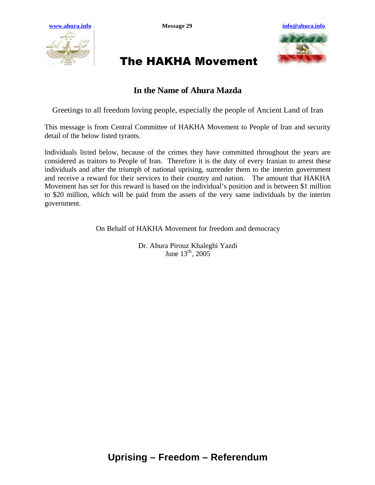



## The HAKHA Movement

## **In the Name of Ahura Mazda**

Greetings to all freedom loving people, especially the people of Ancient Land of Iran

This message is from Central Committee of HAKHA Movement to People of Iran and security detail of the below listed tyrants.

Individuals listed below, because of the crimes they have committed throughout the years are considered as traitors to People of Iran. Therefore it is the duty of every Iranian to arrest these individuals and after the triumph of national uprising, surrender them to the interim government and receive a reward for their services to their country and nation. The amount that HAKHA Movement has set for this reward is based on the individual's position and is between \$1 million to \$20 million, which will be paid from the assets of the very same individuals by the interim government.

On Behalf of HAKHA Movement for freedom and democracy

Dr. Ahura Pirouz Khaleghi Yazdi June  $13^{th}$ , 2005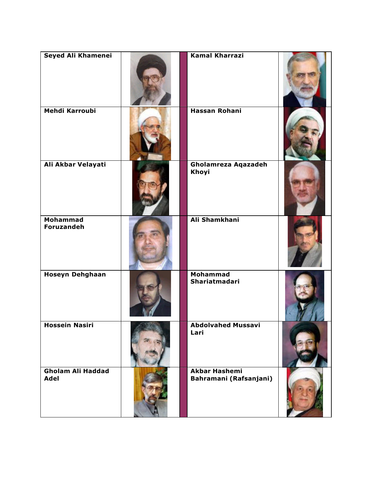| Seyed Ali Khamenei                   | <b>Kamal Kharrazi</b>                          |  |
|--------------------------------------|------------------------------------------------|--|
| Mehdi Karroubi                       | <b>Hassan Rohani</b>                           |  |
| Ali Akbar Velayati                   | <b>Gholamreza Aqazadeh</b><br>Khoyi            |  |
| <b>Mohammad</b><br><b>Foruzandeh</b> | Ali Shamkhani                                  |  |
| <b>Hoseyn Dehghaan</b>               | <b>Mohammad</b><br>Shariatmadari               |  |
| <b>Hossein Nasiri</b>                | <b>Abdolvahed Mussavi</b><br>Lari              |  |
| <b>Gholam Ali Haddad</b><br>Adel     | <b>Akbar Hashemi</b><br>Bahramani (Rafsanjani) |  |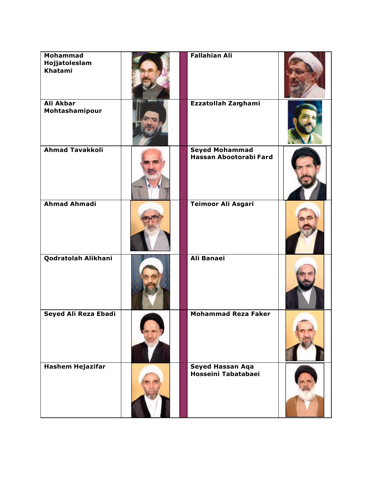| <b>Mohammad</b><br>Hojjatoleslam<br>Khatami | <b>Fallahian Ali</b>                            |  |
|---------------------------------------------|-------------------------------------------------|--|
| Ali Akbar<br>Mohtashamipour                 | Ezzatollah Zarghami                             |  |
| <b>Ahmad Tavakkoli</b>                      | <b>Seyed Mohammad</b><br>Hassan Abootorabi Fard |  |
| <b>Ahmad Ahmadi</b>                         | <b>Teimoor Ali Asgari</b>                       |  |
| Qodratolah Alikhani                         | Ali Banaei                                      |  |
| Seyed Ali Reza Ebadi                        | <b>Mohammad Reza Faker</b>                      |  |
| Hashem Hejazifar                            | Seyed Hassan Aqa<br>Hosseini Tabatabaei         |  |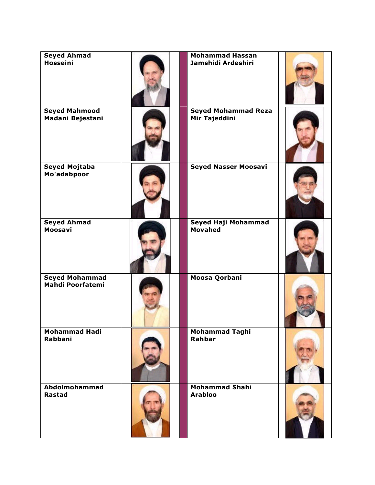| <b>Seyed Ahmad</b><br><b>Hosseini</b>            | <b>Mohammad Hassan</b><br>Jamshidi Ardeshiri |  |
|--------------------------------------------------|----------------------------------------------|--|
| <b>Seyed Mahmood</b><br>Madani Bejestani         | <b>Seyed Mohammad Reza</b><br>Mir Tajeddini  |  |
| <b>Seyed Mojtaba</b><br>Mo'adabpoor              | Seyed Nasser Moosavi                         |  |
| <b>Seyed Ahmad</b><br><b>Moosavi</b>             | Seyed Haji Mohammad<br><b>Movahed</b>        |  |
| <b>Seyed Mohammad</b><br><b>Mahdi Poorfatemi</b> | Moosa Qorbani                                |  |
| <b>Mohammad Hadi</b><br>Rabbani                  | <b>Mohammad Taghi</b><br>Rahbar              |  |
| Abdolmohammad<br><b>Rastad</b>                   | <b>Mohammad Shahi</b><br><b>Arabloo</b>      |  |